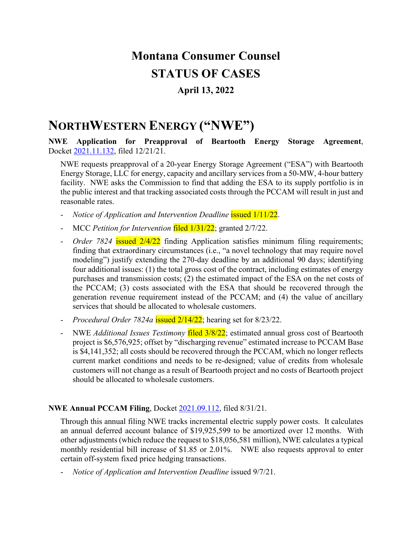# **Montana Consumer Counsel STATUS OF CASES**

### **April 13, 2022**

### **NORTHWESTERN ENERGY ("NWE")**

**NWE Application for Preapproval of Beartooth Energy Storage Agreement**, Docket [2021.11.132,](https://dataportal.mt.gov/t/DOAPSC/views/EDDISearch_15650306559830/PSCEDDISearch?iframeSizedToWindow=true&%3Aembed=y&%3AshowAppBanner=false&%3Adisplay_count=no&%3AshowVizHome=no&%3Aorigin=viz_share_link&Tracking%20Number=2021.11.132) filed 12/21/21.

NWE requests preapproval of a 20-year Energy Storage Agreement ("ESA") with Beartooth Energy Storage, LLC for energy, capacity and ancillary services from a 50-MW, 4-hour battery facility. NWE asks the Commission to find that adding the ESA to its supply portfolio is in the public interest and that tracking associated costs through the PCCAM will result in just and reasonable rates.

- *Notice of Application and Intervention Deadline* issued 1/11/22.
- MCC *Petition for Intervention* filed 1/31/22; granted 2/7/22.
- *Order 7824* issued 2/4/22 finding Application satisfies minimum filing requirements; finding that extraordinary circumstances (i.e., "a novel technology that may require novel modeling") justify extending the 270-day deadline by an additional 90 days; identifying four additional issues: (1) the total gross cost of the contract, including estimates of energy purchases and transmission costs; (2) the estimated impact of the ESA on the net costs of the PCCAM; (3) costs associated with the ESA that should be recovered through the generation revenue requirement instead of the PCCAM; and (4) the value of ancillary services that should be allocated to wholesale customers.
- *Procedural Order 7824a* issued 2/14/22; hearing set for 8/23/22.
- NWE *Additional Issues Testimony* filed 3/8/22; estimated annual gross cost of Beartooth project is \$6,576,925; offset by "discharging revenue" estimated increase to PCCAM Base is \$4,141,352; all costs should be recovered through the PCCAM, which no longer reflects current market conditions and needs to be re-designed; value of credits from wholesale customers will not change as a result of Beartooth project and no costs of Beartooth project should be allocated to wholesale customers.

#### **NWE Annual PCCAM Filing**, Docket [2021.09.112,](https://dataportal.mt.gov/t/DOAPSC/views/EDDISearch_15650306559830/PSCEDDISearch?iframeSizedToWindow=true&%3Aembed=y&%3AshowAppBanner=false&%3Adisplay_count=no&%3AshowVizHome=no&%3Aorigin=viz_share_link&Tracking%20Number=2021.09.112) filed 8/31/21.

Through this annual filing NWE tracks incremental electric supply power costs. It calculates an annual deferred account balance of \$19,925,599 to be amortized over 12 months. With other adjustments (which reduce the request to \$18,056,581 million), NWE calculates a typical monthly residential bill increase of \$1.85 or 2.01%. NWE also requests approval to enter certain off-system fixed price hedging transactions.

- *Notice of Application and Intervention Deadline* issued 9/7/21.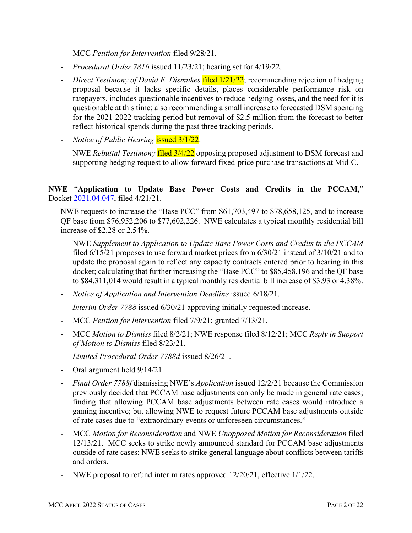- MCC *Petition for Intervention* filed 9/28/21.
- *Procedural Order 7816* issued 11/23/21; hearing set for 4/19/22.
- *Direct Testimony of David E. Dismukes* filed 1/21/22; recommending rejection of hedging proposal because it lacks specific details, places considerable performance risk on ratepayers, includes questionable incentives to reduce hedging losses, and the need for it is questionable at this time; also recommending a small increase to forecasted DSM spending for the 2021-2022 tracking period but removal of \$2.5 million from the forecast to better reflect historical spends during the past three tracking periods.
- *Notice of Public Hearing* issued 3/1/22.
- NWE *Rebuttal Testimony* filed 3/4/22 opposing proposed adjustment to DSM forecast and supporting hedging request to allow forward fixed-price purchase transactions at Mid-C.

#### **NWE** "**Application to Update Base Power Costs and Credits in the PCCAM**," Docket [2021.04.047,](https://dataportal.mt.gov/t/DOAPSC/views/EDDISearch_15650306559830/PSCEDDISearch?iframeSizedToWindow=true&%3Aembed=y&%3AshowAppBanner=false&%3Adisplay_count=no&%3AshowVizHome=no&%3Aorigin=viz_share_link&Tracking%20Number=2021.04.047) filed 4/21/21.

NWE requests to increase the "Base PCC" from \$61,703,497 to \$78,658,125, and to increase QF base from \$76,952,206 to \$77,602,226. NWE calculates a typical monthly residential bill increase of \$2.28 or 2.54%.

- NWE *Supplement to Application to Update Base Power Costs and Credits in the PCCAM* filed 6/15/21 proposes to use forward market prices from 6/30/21 instead of 3/10/21 and to update the proposal again to reflect any capacity contracts entered prior to hearing in this docket; calculating that further increasing the "Base PCC" to \$85,458,196 and the QF base to \$84,311,014 would result in a typical monthly residential bill increase of \$3.93 or 4.38%.
- *Notice of Application and Intervention Deadline* issued 6/18/21.
- *Interim Order 7788* issued 6/30/21 approving initially requested increase.
- MCC *Petition for Intervention* filed 7/9/21; granted 7/13/21.
- MCC *Motion to Dismiss* filed 8/2/21; NWE response filed 8/12/21; MCC *Reply in Support of Motion to Dismiss* filed 8/23/21.
- *Limited Procedural Order 7788d* issued 8/26/21.
- Oral argument held 9/14/21.
- *Final Order 7788f* dismissing NWE's *Application* issued 12/2/21 because the Commission previously decided that PCCAM base adjustments can only be made in general rate cases; finding that allowing PCCAM base adjustments between rate cases would introduce a gaming incentive; but allowing NWE to request future PCCAM base adjustments outside of rate cases due to "extraordinary events or unforeseen circumstances."
- MCC *Motion for Reconsideration* and NWE *Unopposed Motion for Reconsideration* filed 12/13/21. MCC seeks to strike newly announced standard for PCCAM base adjustments outside of rate cases; NWE seeks to strike general language about conflicts between tariffs and orders.
- NWE proposal to refund interim rates approved 12/20/21, effective 1/1/22.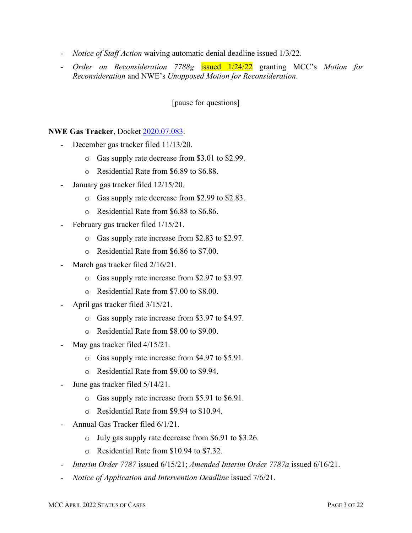- *Notice of Staff Action* waiving automatic denial deadline issued 1/3/22.
- *Order on Reconsideration 7788g* issued 1/24/22 granting MCC's *Motion for Reconsideration* and NWE's *Unopposed Motion for Reconsideration*.

[pause for questions]

#### **NWE Gas Tracker**, Docket [2020.07.083.](https://dataportal.mt.gov/t/DOAPSC/views/EDDISearch_15650306559830/PSCEDDISearch?iframeSizedToWindow=true&%3Aembed=y&%3AshowAppBanner=false&%3Adisplay_count=no&%3AshowVizHome=no&%3Aorigin=viz_share_link&Tracking%20Number=2020.07.083)

- December gas tracker filed  $11/13/20$ .
	- o Gas supply rate decrease from \$3.01 to \$2.99.
	- o Residential Rate from \$6.89 to \$6.88.
- January gas tracker filed  $12/15/20$ .
	- o Gas supply rate decrease from \$2.99 to \$2.83.
	- o Residential Rate from \$6.88 to \$6.86.
- February gas tracker filed 1/15/21.
	- o Gas supply rate increase from \$2.83 to \$2.97.
	- o Residential Rate from \$6.86 to \$7.00.
- March gas tracker filed  $2/16/21$ .
	- o Gas supply rate increase from \$2.97 to \$3.97.
	- o Residential Rate from \$7.00 to \$8.00.
- April gas tracker filed  $3/15/21$ .
	- o Gas supply rate increase from \$3.97 to \$4.97.
	- o Residential Rate from \$8.00 to \$9.00.
- May gas tracker filed  $4/15/21$ .
	- o Gas supply rate increase from \$4.97 to \$5.91.
	- o Residential Rate from \$9.00 to \$9.94.
- June gas tracker filed  $5/14/21$ .
	- o Gas supply rate increase from \$5.91 to \$6.91.
	- o Residential Rate from \$9.94 to \$10.94.
- Annual Gas Tracker filed 6/1/21.
	- o July gas supply rate decrease from \$6.91 to \$3.26.
	- o Residential Rate from \$10.94 to \$7.32.
- *Interim Order 7787* issued 6/15/21; *Amended Interim Order 7787a* issued 6/16/21.
- *Notice of Application and Intervention Deadline* issued 7/6/21.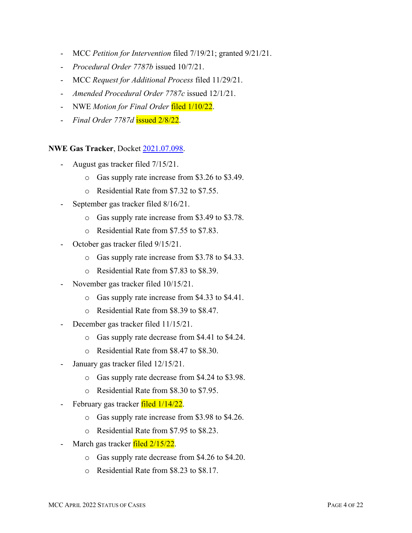- MCC *Petition for Intervention* filed 7/19/21; granted 9/21/21.
- *Procedural Order 7787b* issued 10/7/21.
- MCC *Request for Additional Process* filed 11/29/21.
- *Amended Procedural Order 7787c* issued 12/1/21.
- NWE *Motion for Final Order* filed 1/10/22.
- *Final Order 7787d* issued 2/8/22.

**NWE Gas Tracker**, Docket [2021.07.098.](https://dataportal.mt.gov/t/DOAPSC/views/EDDISearch_15650306559830/PSCEDDISearch?iframeSizedToWindow=true&%3Aembed=y&%3AshowAppBanner=false&%3Adisplay_count=no&%3AshowVizHome=no&%3Aorigin=viz_share_link&Tracking%20Number=2021.07.098)

- August gas tracker filed  $7/15/21$ .
	- o Gas supply rate increase from \$3.26 to \$3.49.
	- o Residential Rate from \$7.32 to \$7.55.
- September gas tracker filed  $8/16/21$ .
	- o Gas supply rate increase from \$3.49 to \$3.78.
	- o Residential Rate from \$7.55 to \$7.83.
- October gas tracker filed  $9/15/21$ .
	- o Gas supply rate increase from \$3.78 to \$4.33.
	- o Residential Rate from \$7.83 to \$8.39.
- November gas tracker filed  $10/15/21$ .
	- o Gas supply rate increase from \$4.33 to \$4.41.
	- o Residential Rate from \$8.39 to \$8.47.
- December gas tracker filed 11/15/21.
	- o Gas supply rate decrease from \$4.41 to \$4.24.
	- o Residential Rate from \$8.47 to \$8.30.
- January gas tracker filed  $12/15/21$ .
	- o Gas supply rate decrease from \$4.24 to \$3.98.
	- o Residential Rate from \$8.30 to \$7.95.
- February gas tracker filed  $1/14/22$ .
	- o Gas supply rate increase from \$3.98 to \$4.26.
	- o Residential Rate from \$7.95 to \$8.23.
- March gas tracker filed 2/15/22.
	- o Gas supply rate decrease from \$4.26 to \$4.20.
	- o Residential Rate from \$8.23 to \$8.17.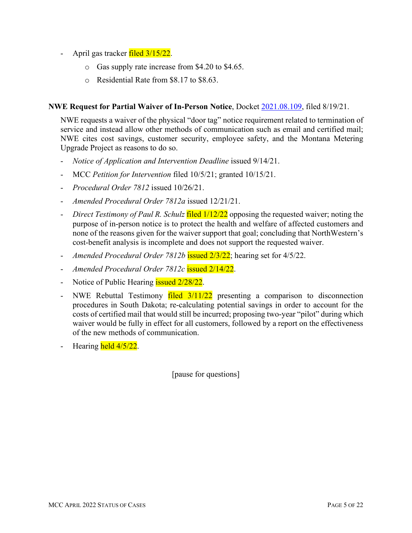- April gas tracker  $\frac{\text{filed} 3}{15/22}$ .
	- o Gas supply rate increase from \$4.20 to \$4.65.
	- o Residential Rate from \$8.17 to \$8.63.

#### **NWE Request for Partial Waiver of In-Person Notice**, Docket [2021.08.109,](https://dataportal.mt.gov/t/DOAPSC/views/EDDISearch_15650306559830/PSCEDDISearch?iframeSizedToWindow=true&%3Aembed=y&%3AshowAppBanner=false&%3Adisplay_count=no&%3AshowVizHome=no&%3Aorigin=viz_share_link&Tracking%20Number=2021.08.109) filed 8/19/21.

NWE requests a waiver of the physical "door tag" notice requirement related to termination of service and instead allow other methods of communication such as email and certified mail; NWE cites cost savings, customer security, employee safety, and the Montana Metering Upgrade Project as reasons to do so.

- *Notice of Application and Intervention Deadline* issued 9/14/21.
- MCC *Petition for Intervention* filed 10/5/21; granted 10/15/21.
- *Procedural Order 7812* issued 10/26/21.
- *Amended Procedural Order 7812a* issued 12/21/21.
- *Direct Testimony of Paul R. Schulz* filed 1/12/22 opposing the requested waiver; noting the purpose of in-person notice is to protect the health and welfare of affected customers and none of the reasons given for the waiver support that goal; concluding that NorthWestern's cost-benefit analysis is incomplete and does not support the requested waiver.
- Amended Procedural Order 7812b issued  $\frac{2}{3/22}$ ; hearing set for 4/5/22.
- *Amended Procedural Order 7812c* issued 2/14/22.
- Notice of Public Hearing **issued 2/28/22.**
- NWE Rebuttal Testimony  $\frac{\text{field}}{\text{2}}$  11/22 presenting a comparison to disconnection procedures in South Dakota; re-calculating potential savings in order to account for the costs of certified mail that would still be incurred; proposing two-year "pilot" during which waiver would be fully in effect for all customers, followed by a report on the effectiveness of the new methods of communication.
- Hearing held 4/5/22.

[pause for questions]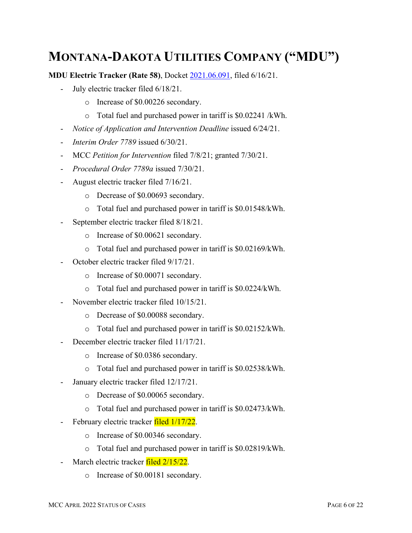# **MONTANA-DAKOTA UTILITIES COMPANY ("MDU")**

**MDU Electric Tracker (Rate 58)**, Docket [2021.06.091,](https://dataportal.mt.gov/t/DOAPSC/views/EDDISearch_15650306559830/PSCEDDISearch?iframeSizedToWindow=true&%3Aembed=y&%3AshowAppBanner=false&%3Adisplay_count=no&%3AshowVizHome=no&%3Aorigin=viz_share_link&Tracking%20Number=2021.06.091) filed 6/16/21.

- July electric tracker filed  $6/18/21$ .
	- o Increase of \$0.00226 secondary.
	- o Total fuel and purchased power in tariff is \$0.02241 /kWh.
- *Notice of Application and Intervention Deadline* issued 6/24/21.
- *Interim Order 7789* issued 6/30/21.
- MCC *Petition for Intervention* filed 7/8/21; granted 7/30/21.
- *Procedural Order 7789a* issued 7/30/21.
- August electric tracker filed 7/16/21.
	- o Decrease of \$0.00693 secondary.
	- o Total fuel and purchased power in tariff is \$0.01548/kWh.
- September electric tracker filed  $8/18/21$ .
	- o Increase of \$0.00621 secondary.
	- o Total fuel and purchased power in tariff is \$0.02169/kWh.
- October electric tracker filed  $9/17/21$ .
	- o Increase of \$0.00071 secondary.
	- o Total fuel and purchased power in tariff is \$0.0224/kWh.
- November electric tracker filed 10/15/21.
	- o Decrease of \$0.00088 secondary.
	- o Total fuel and purchased power in tariff is \$0.02152/kWh.
- December electric tracker filed 11/17/21.
	- o Increase of \$0.0386 secondary.
	- o Total fuel and purchased power in tariff is \$0.02538/kWh.
- January electric tracker filed  $12/17/21$ .
	- o Decrease of \$0.00065 secondary.
	- o Total fuel and purchased power in tariff is \$0.02473/kWh.
- February electric tracker filed  $1/17/22$ .
	- o Increase of \$0.00346 secondary.
	- o Total fuel and purchased power in tariff is \$0.02819/kWh.
- March electric tracker filed 2/15/22.
	- o Increase of \$0.00181 secondary.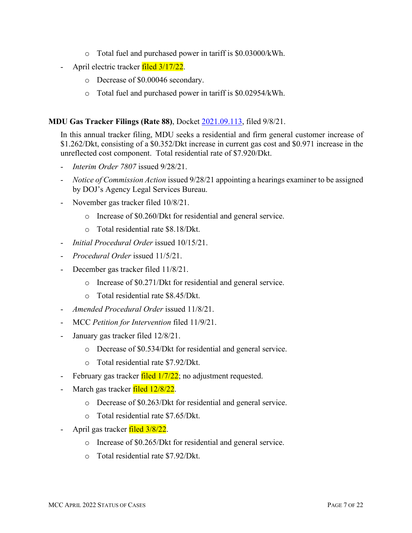- o Total fuel and purchased power in tariff is \$0.03000/kWh.
- April electric tracker filed 3/17/22.
	- o Decrease of \$0.00046 secondary.
	- o Total fuel and purchased power in tariff is \$0.02954/kWh.

#### **MDU Gas Tracker Filings (Rate 88)**, Docket [2021.09.113,](https://dataportal.mt.gov/t/DOAPSC/views/EDDISearch_15650306559830/PSCEDDISearch?iframeSizedToWindow=true&%3Aembed=y&%3AshowAppBanner=false&%3Adisplay_count=no&%3AshowVizHome=no&%3Aorigin=viz_share_link&Tracking%20Number=2021.09.113) filed 9/8/21.

In this annual tracker filing, MDU seeks a residential and firm general customer increase of \$1.262/Dkt, consisting of a \$0.352/Dkt increase in current gas cost and \$0.971 increase in the unreflected cost component. Total residential rate of \$7.920/Dkt.

- *Interim Order 7807* issued 9/28/21.
- *Notice of Commission Action* issued 9/28/21 appointing a hearings examiner to be assigned by DOJ's Agency Legal Services Bureau.
- November gas tracker filed 10/8/21.
	- o Increase of \$0.260/Dkt for residential and general service.
	- o Total residential rate \$8.18/Dkt.
- *Initial Procedural Order* issued 10/15/21.
- *Procedural Order* issued 11/5/21.
- December gas tracker filed 11/8/21.
	- o Increase of \$0.271/Dkt for residential and general service.
	- o Total residential rate \$8.45/Dkt.
- *Amended Procedural Order* issued 11/8/21.
- MCC *Petition for Intervention* filed 11/9/21.
- January gas tracker filed 12/8/21.
	- o Decrease of \$0.534/Dkt for residential and general service.
	- o Total residential rate \$7.92/Dkt.
- February gas tracker  $\frac{\text{filed }1}{7/22}$ ; no adjustment requested.
- March gas tracker filed 12/8/22.
	- o Decrease of \$0.263/Dkt for residential and general service.
	- o Total residential rate \$7.65/Dkt.
- April gas tracker filed 3/8/22.
	- o Increase of \$0.265/Dkt for residential and general service.
	- o Total residential rate \$7.92/Dkt.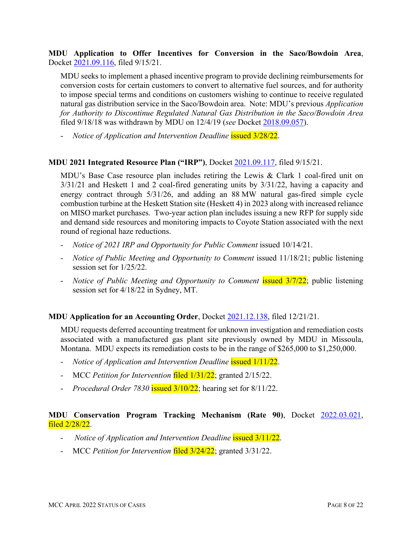**MDU Application to Offer Incentives for Conversion in the Saco/Bowdoin Area**, Docket [2021.09.116,](https://dataportal.mt.gov/t/DOAPSC/views/EDDISearch_15650306559830/PSCEDDISearch?iframeSizedToWindow=true&%3Aembed=y&%3AshowAppBanner=false&%3Adisplay_count=no&%3AshowVizHome=no&%3Aorigin=viz_share_link&Tracking%20Number=2021.09.116) filed 9/15/21.

MDU seeks to implement a phased incentive program to provide declining reimbursements for conversion costs for certain customers to convert to alternative fuel sources, and for authority to impose special terms and conditions on customers wishing to continue to receive regulated natural gas distribution service in the Saco/Bowdoin area. Note: MDU's previous *Application for Authority to Discontinue Regulated Natural Gas Distribution in the Saco/Bowdoin Area* filed 9/18/18 was withdrawn by MDU on 12/4/19 (*see* Docket [2018.09.057\)](https://dataportal.mt.gov/t/DOAPSC/views/EDDISearch_15650306559830/PSCEDDISearch?iframeSizedToWindow=true&%3Aembed=y&%3AshowAppBanner=false&%3Adisplay_count=no&%3AshowVizHome=no&%3Aorigin=viz_share_link&Tracking%20Number=2018.09.057).

- *Notice of Application and Intervention Deadline* issued 3/28/22.

#### **MDU 2021 Integrated Resource Plan ("IRP")**, Docket [2021.09.117,](https://dataportal.mt.gov/t/DOAPSC/views/EDDISearch_15650306559830/PSCEDDISearch?iframeSizedToWindow=true&%3Aembed=y&%3AshowAppBanner=false&%3Adisplay_count=no&%3AshowVizHome=no&%3Aorigin=viz_share_link&Tracking%20Number=2021.09.117) filed 9/15/21.

MDU's Base Case resource plan includes retiring the Lewis & Clark 1 coal-fired unit on 3/31/21 and Heskett 1 and 2 coal-fired generating units by 3/31/22, having a capacity and energy contract through 5/31/26, and adding an 88 MW natural gas-fired simple cycle combustion turbine at the Heskett Station site (Heskett 4) in 2023 along with increased reliance on MISO market purchases. Two-year action plan includes issuing a new RFP for supply side and demand side resources and monitoring impacts to Coyote Station associated with the next round of regional haze reductions.

- *Notice of 2021 IRP and Opportunity for Public Comment* issued 10/14/21.
- *Notice of Public Meeting and Opportunity to Comment* issued 11/18/21; public listening session set for 1/25/22.
- *Notice of Public Meeting and Opportunity to Comment* **issued 3/7/22**; public listening session set for 4/18/22 in Sydney, MT.

#### **MDU Application for an Accounting Order**, Docket [2021.12.138,](https://dataportal.mt.gov/t/DOAPSC/views/EDDISearch_15650306559830/PSCEDDISearch?iframeSizedToWindow=true&%3Aembed=y&%3AshowAppBanner=false&%3Adisplay_count=no&%3AshowVizHome=no&%3Aorigin=viz_share_link&Tracking%20Number=2021.12.138) filed 12/21/21.

MDU requests deferred accounting treatment for unknown investigation and remediation costs associated with a manufactured gas plant site previously owned by MDU in Missoula, Montana. MDU expects its remediation costs to be in the range of \$265,000 to \$1,250,000.

- *Notice of Application and Intervention Deadline* issued 1/11/22.
- MCC *Petition for Intervention* filed 1/31/22; granted 2/15/22.
- *Procedural Order 7830* issued 3/10/22; hearing set for 8/11/22.

#### **MDU Conservation Program Tracking Mechanism (Rate 90)**, Docket [2022.03.021,](https://dataportal.mt.gov/t/DOAPSC/views/EDDISearch_15650306559830/PSCEDDISearch?iframeSizedToWindow=true&%3Aembed=y&%3AshowAppBanner=false&%3Adisplay_count=no&%3AshowVizHome=no&%3Aorigin=viz_share_link&Tracking%20Number=2022.03.021) filed 2/28/22.

- *Notice of Application and Intervention Deadline* issued 3/11/22.
- MCC *Petition for Intervention* filed 3/24/22; granted 3/31/22.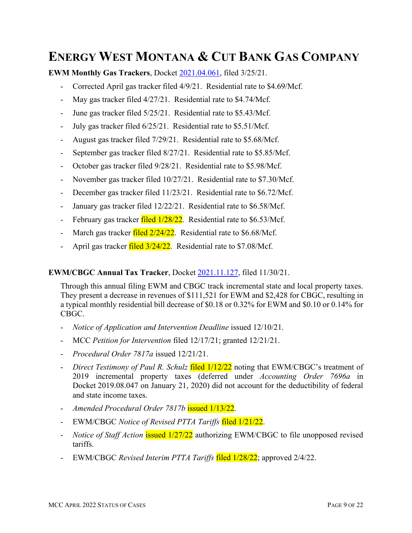## **ENERGY WEST MONTANA & CUT BANK GAS COMPANY**

**EWM Monthly Gas Trackers**, Docket [2021.04.061,](https://dataportal.mt.gov/t/DOAPSC/views/EDDISearch_15650306559830/PSCEDDISearch?iframeSizedToWindow=true&%3Aembed=y&%3AshowAppBanner=false&%3Adisplay_count=no&%3AshowVizHome=no&%3Aorigin=viz_share_link&Tracking%20Number=2021.04.061) filed 3/25/21.

- Corrected April gas tracker filed 4/9/21. Residential rate to \$4.69/Mcf.
- May gas tracker filed 4/27/21. Residential rate to \$4.74/Mcf.
- June gas tracker filed 5/25/21. Residential rate to \$5.43/Mcf.
- July gas tracker filed 6/25/21. Residential rate to \$5.51/Mcf.
- August gas tracker filed 7/29/21. Residential rate to \$5.68/Mcf.
- September gas tracker filed 8/27/21. Residential rate to \$5.85/Mcf.
- October gas tracker filed 9/28/21. Residential rate to \$5.98/Mcf.
- November gas tracker filed 10/27/21. Residential rate to \$7.30/Mcf.
- December gas tracker filed 11/23/21. Residential rate to \$6.72/Mcf.
- January gas tracker filed 12/22/21. Residential rate to \$6.58/Mcf.
- February gas tracker  $\frac{\text{filed } 1/28/22}{\text{Right}}$ . Residential rate to \$6.53/Mcf.
- March gas tracker  $\frac{\text{field } 2/24/22}{\text{Residental rate}}$  to \$6.68/Mcf.
- April gas tracker filed 3/24/22. Residential rate to \$7.08/Mcf.

#### **EWM/CBGC Annual Tax Tracker**, Docket [2021.11.127,](https://dataportal.mt.gov/t/DOAPSC/views/EDDISearch_15650306559830/PSCEDDISearch?iframeSizedToWindow=true&%3Aembed=y&%3AshowAppBanner=false&%3Adisplay_count=no&%3AshowVizHome=no&%3Aorigin=viz_share_link&Tracking%20Number=2021.11.127) filed 11/30/21.

Through this annual filing EWM and CBGC track incremental state and local property taxes. They present a decrease in revenues of \$111,521 for EWM and \$2,428 for CBGC, resulting in a typical monthly residential bill decrease of \$0.18 or 0.32% for EWM and \$0.10 or 0.14% for CBGC.

- *Notice of Application and Intervention Deadline* issued 12/10/21.
- MCC *Petition for Intervention* filed 12/17/21; granted 12/21/21.
- *Procedural Order 7817a* issued 12/21/21.
- *Direct Testimony of Paul R. Schulz* filed  $1/12/22$  noting that EWM/CBGC's treatment of 2019 incremental property taxes (deferred under *Accounting Order 7696a* in Docket 2019.08.047 on January 21, 2020) did not account for the deductibility of federal and state income taxes.
- *Amended Procedural Order 7817b* issued 1/13/22.
- EWM/CBGC *Notice of Revised PTTA Tariffs* filed 1/21/22.
- *Notice of Staff Action* issued  $\frac{1}{27}{22}$  authorizing EWM/CBGC to file unopposed revised tariffs.
- EWM/CBGC *Revised Interim PTTA Tariffs* filed 1/28/22; approved 2/4/22.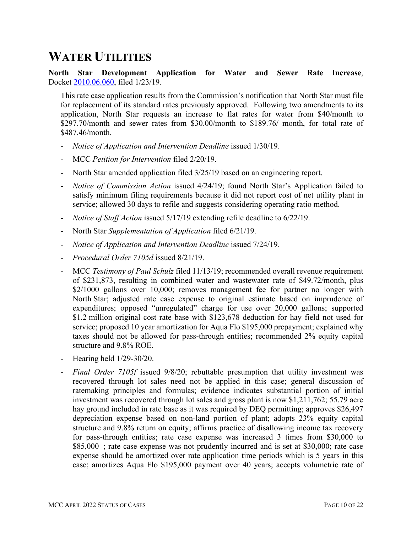### **WATER UTILITIES**

**North Star Development Application for Water and Sewer Rate Increase**, Docket [2010.06.060,](https://dataportal.mt.gov/t/DOAPSC/views/EDDISearch_15650306559830/PSCEDDISearch?iframeSizedToWindow=true&%3Aembed=y&%3AshowAppBanner=false&%3Adisplay_count=no&%3AshowVizHome=no&%3Aorigin=viz_share_link&Tracking%20Number=2010.06.060) filed 1/23/19.

This rate case application results from the Commission's notification that North Star must file for replacement of its standard rates previously approved. Following two amendments to its application, North Star requests an increase to flat rates for water from \$40/month to \$297.70/month and sewer rates from \$30.00/month to \$189.76/ month, for total rate of \$487.46/month.

- *Notice of Application and Intervention Deadline* issued 1/30/19.
- MCC *Petition for Intervention* filed 2/20/19.
- North Star amended application filed  $3/25/19$  based on an engineering report.
- *Notice of Commission Action* issued 4/24/19; found North Star's Application failed to satisfy minimum filing requirements because it did not report cost of net utility plant in service; allowed 30 days to refile and suggests considering operating ratio method.
- *Notice of Staff Action* issued 5/17/19 extending refile deadline to 6/22/19.
- North Star *Supplementation of Application* filed 6/21/19.
- *Notice of Application and Intervention Deadline* issued 7/24/19.
- *Procedural Order 7105d* issued 8/21/19.
- MCC *Testimony of Paul Schulz* filed 11/13/19; recommended overall revenue requirement of \$231,873, resulting in combined water and wastewater rate of \$49.72/month, plus \$2/1000 gallons over 10,000; removes management fee for partner no longer with North Star; adjusted rate case expense to original estimate based on imprudence of expenditures; opposed "unregulated" charge for use over 20,000 gallons; supported \$1.2 million original cost rate base with \$123,678 deduction for hay field not used for service; proposed 10 year amortization for Aqua Flo \$195,000 prepayment; explained why taxes should not be allowed for pass-through entities; recommended 2% equity capital structure and 9.8% ROE.
- Hearing held 1/29-30/20.
- *Final Order 7105f* issued 9/8/20; rebuttable presumption that utility investment was recovered through lot sales need not be applied in this case; general discussion of ratemaking principles and formulas; evidence indicates substantial portion of initial investment was recovered through lot sales and gross plant is now \$1,211,762; 55.79 acre hay ground included in rate base as it was required by DEQ permitting; approves \$26,497 depreciation expense based on non-land portion of plant; adopts 23% equity capital structure and 9.8% return on equity; affirms practice of disallowing income tax recovery for pass-through entities; rate case expense was increased 3 times from \$30,000 to \$85,000+; rate case expense was not prudently incurred and is set at \$30,000; rate case expense should be amortized over rate application time periods which is 5 years in this case; amortizes Aqua Flo \$195,000 payment over 40 years; accepts volumetric rate of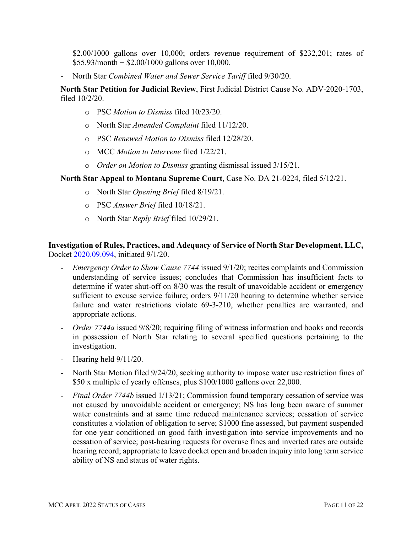\$2.00/1000 gallons over 10,000; orders revenue requirement of \$232,201; rates of  $$55.93/month + $2.00/1000$  gallons over 10,000.

- North Star *Combined Water and Sewer Service Tariff* filed 9/30/20.

**North Star Petition for Judicial Review**, First Judicial District Cause No. ADV-2020-1703, filed 10/2/20.

- o PSC *Motion to Dismiss* filed 10/23/20.
- o North Star *Amended Complaint* filed 11/12/20.
- o PSC *Renewed Motion to Dismiss* filed 12/28/20.
- o MCC *Motion to Intervene* filed 1/22/21.
- o *Order on Motion to Dismiss* granting dismissal issued 3/15/21.

**North Star Appeal to Montana Supreme Court**, Case No. DA 21-0224, filed 5/12/21.

- o North Star *Opening Brief* filed 8/19/21.
- o PSC *Answer Brief* filed 10/18/21.
- o North Star *Reply Brief* filed 10/29/21.

#### **Investigation of Rules, Practices, and Adequacy of Service of North Star Development, LLC,**  Docket [2020.09.094,](https://dataportal.mt.gov/t/DOAPSC/views/EDDISearch_15650306559830/PSCEDDISearch?iframeSizedToWindow=true&%3Aembed=y&%3AshowAppBanner=false&%3Adisplay_count=no&%3AshowVizHome=no&%3Aorigin=viz_share_link&Tracking%20Number=2020.09.094) initiated 9/1/20.

- *Emergency Order to Show Cause 7744* issued 9/1/20; recites complaints and Commission understanding of service issues; concludes that Commission has insufficient facts to determine if water shut-off on 8/30 was the result of unavoidable accident or emergency sufficient to excuse service failure; orders  $9/11/20$  hearing to determine whether service failure and water restrictions violate 69-3-210, whether penalties are warranted, and appropriate actions.
- *Order 7744a* issued 9/8/20; requiring filing of witness information and books and records in possession of North Star relating to several specified questions pertaining to the investigation.
- Hearing held 9/11/20.
- North Star Motion filed 9/24/20, seeking authority to impose water use restriction fines of \$50 x multiple of yearly offenses, plus \$100/1000 gallons over 22,000.
- *Final Order 7744b* issued 1/13/21; Commission found temporary cessation of service was not caused by unavoidable accident or emergency; NS has long been aware of summer water constraints and at same time reduced maintenance services; cessation of service constitutes a violation of obligation to serve; \$1000 fine assessed, but payment suspended for one year conditioned on good faith investigation into service improvements and no cessation of service; post-hearing requests for overuse fines and inverted rates are outside hearing record; appropriate to leave docket open and broaden inquiry into long term service ability of NS and status of water rights.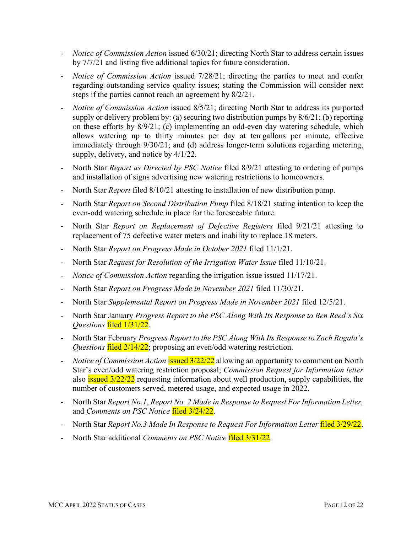- *Notice of Commission Action* issued 6/30/21; directing North Star to address certain issues by 7/7/21 and listing five additional topics for future consideration.
- *Notice of Commission Action* issued 7/28/21; directing the parties to meet and confer regarding outstanding service quality issues; stating the Commission will consider next steps if the parties cannot reach an agreement by 8/2/21.
- *Notice of Commission Action* issued 8/5/21; directing North Star to address its purported supply or delivery problem by: (a) securing two distribution pumps by 8/6/21; (b) reporting on these efforts by 8/9/21; (c) implementing an odd-even day watering schedule, which allows watering up to thirty minutes per day at ten gallons per minute, effective immediately through 9/30/21; and (d) address longer-term solutions regarding metering, supply, delivery, and notice by 4/1/22.
- North Star *Report as Directed by PSC Notice* filed 8/9/21 attesting to ordering of pumps and installation of signs advertising new watering restrictions to homeowners.
- North Star *Report* filed 8/10/21 attesting to installation of new distribution pump.
- North Star *Report on Second Distribution Pump* filed 8/18/21 stating intention to keep the even-odd watering schedule in place for the foreseeable future.
- North Star *Report on Replacement of Defective Registers* filed 9/21/21 attesting to replacement of 75 defective water meters and inability to replace 18 meters.
- North Star *Report on Progress Made in October 2021* filed 11/1/21.
- North Star *Request for Resolution of the Irrigation Water Issue* filed 11/10/21.
- *Notice of Commission Action* regarding the irrigation issue issued 11/17/21.
- North Star *Report on Progress Made in November 2021* filed 11/30/21.
- North Star *Supplemental Report on Progress Made in November 2021* filed 12/5/21.
- North Star January *Progress Report to the PSC Along With Its Response to Ben Reed's Six Questions* filed 1/31/22.
- North Star February *Progress Report to the PSC Along With Its Response to Zach Rogala's Questions* filed 2/14/22; proposing an even/odd watering restriction.
- *Notice of Commission Action* issued 3/22/22 allowing an opportunity to comment on North Star's even/odd watering restriction proposal; *Commission Request for Information letter*  also **issued** 3/22/22 requesting information about well production, supply capabilities, the number of customers served, metered usage, and expected usage in 2022.
- North Star *Report No.1*, *Report No. 2 Made in Response to Request For Information Letter,*  and *Comments on PSC Notice* filed 3/24/22.
- North Star *Report No.3 Made In Response to Request For Information Letter* filed 3/29/22.
- North Star additional *Comments on PSC Notice* filed 3/31/22.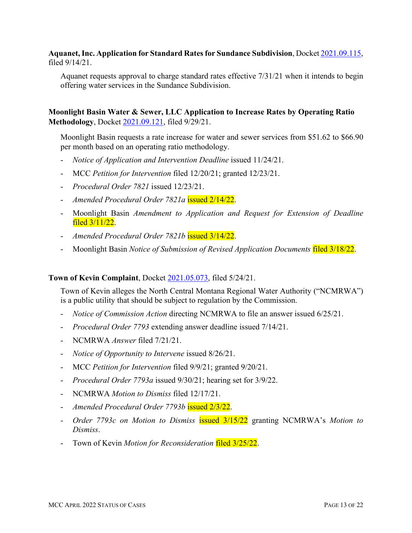**Aquanet, Inc. Application for Standard Rates for Sundance Subdivision**, Docket [2021.09.115,](https://dataportal.mt.gov/t/DOAPSC/views/EDDISearch_15650306559830/PSCEDDISearch?iframeSizedToWindow=true&%3Aembed=y&%3AshowAppBanner=false&%3Adisplay_count=no&%3AshowVizHome=no&%3Aorigin=viz_share_link&Tracking%20Number=2021.09.115) filed 9/14/21.

Aquanet requests approval to charge standard rates effective 7/31/21 when it intends to begin offering water services in the Sundance Subdivision.

**Moonlight Basin Water & Sewer, LLC Application to Increase Rates by Operating Ratio Methodology**, Docket [2021.09.121,](https://dataportal.mt.gov/t/DOAPSC/views/EDDISearch_15650306559830/PSCEDDISearch?iframeSizedToWindow=true&%3Aembed=y&%3AshowAppBanner=false&%3Adisplay_count=no&%3AshowVizHome=no&%3Aorigin=viz_share_link&Tracking%20Number=2021.09.121) filed 9/29/21.

Moonlight Basin requests a rate increase for water and sewer services from \$51.62 to \$66.90 per month based on an operating ratio methodology.

- *Notice of Application and Intervention Deadline* issued 11/24/21.
- MCC *Petition for Intervention* filed 12/20/21; granted 12/23/21.
- *Procedural Order 7821* issued 12/23/21.
- *Amended Procedural Order 7821a* issued 2/14/22.
- Moonlight Basin *Amendment to Application and Request for Extension of Deadline* filed 3/11/22.
- *Amended Procedural Order 7821b* issued 3/14/22.
- Moonlight Basin *Notice of Submission of Revised Application Documents* filed 3/18/22.

#### **Town of Kevin Complaint**, Docket [2021.05.073,](https://dataportal.mt.gov/t/DOAPSC/views/EDDISearch_15650306559830/PSCEDDISearch?iframeSizedToWindow=true&%3Aembed=y&%3AshowAppBanner=false&%3Adisplay_count=no&%3AshowVizHome=no&%3Aorigin=viz_share_link&Tracking%20Number=2021.05.073) filed 5/24/21.

Town of Kevin alleges the North Central Montana Regional Water Authority ("NCMRWA") is a public utility that should be subject to regulation by the Commission.

- *Notice of Commission Action* directing NCMRWA to file an answer issued 6/25/21.
- *Procedural Order 7793* extending answer deadline issued 7/14/21.
- NCMRWA *Answer* filed 7/21/21.
- *Notice of Opportunity to Intervene* issued 8/26/21.
- MCC *Petition for Intervention* filed 9/9/21; granted 9/20/21.
- *Procedural Order 7793a* issued 9/30/21; hearing set for 3/9/22.
- NCMRWA *Motion to Dismiss* filed 12/17/21.
- *Amended Procedural Order 7793b* issued 2/3/22.
- *Order 7793c on Motion to Dismiss* issued 3/15/22 granting NCMRWA's *Motion to Dismiss*.
- Town of Kevin *Motion for Reconsideration* filed 3/25/22.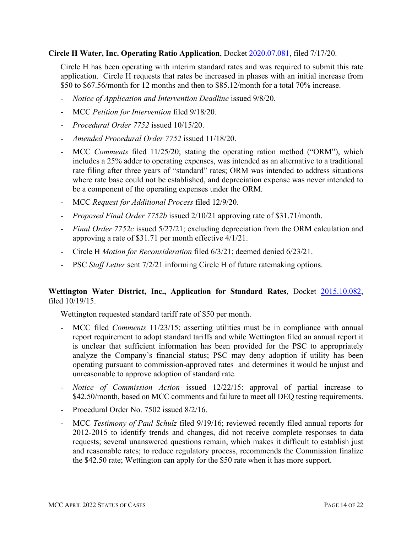#### **Circle H Water, Inc. Operating Ratio Application**, Docket [2020.07.081,](https://dataportal.mt.gov/t/DOAPSC/views/EDDISearch_15650306559830/PSCEDDISearch?iframeSizedToWindow=true&%3Aembed=y&%3AshowAppBanner=false&%3Adisplay_count=no&%3AshowVizHome=no&%3Aorigin=viz_share_link&Tracking%20Number=2020.07.081) filed 7/17/20.

Circle H has been operating with interim standard rates and was required to submit this rate application. Circle H requests that rates be increased in phases with an initial increase from \$50 to \$67.56/month for 12 months and then to \$85.12/month for a total 70% increase.

- *Notice of Application and Intervention Deadline* issued 9/8/20.
- MCC *Petition for Intervention* filed 9/18/20.
- *Procedural Order 7752* issued 10/15/20.
- *Amended Procedural Order 7752* issued 11/18/20.
- MCC *Comments* filed 11/25/20; stating the operating ration method ("ORM"), which includes a 25% adder to operating expenses, was intended as an alternative to a traditional rate filing after three years of "standard" rates; ORM was intended to address situations where rate base could not be established, and depreciation expense was never intended to be a component of the operating expenses under the ORM.
- MCC *Request for Additional Process* filed 12/9/20.
- *Proposed Final Order 7752b* issued 2/10/21 approving rate of \$31.71/month.
- *Final Order 7752c* issued 5/27/21; excluding depreciation from the ORM calculation and approving a rate of \$31.71 per month effective 4/1/21.
- Circle H *Motion for Reconsideration* filed 6/3/21; deemed denied 6/23/21.
- PSC *Staff Letter* sent 7/2/21 informing Circle H of future ratemaking options.

#### **Wettington Water District, Inc., Application for Standard Rates**, Docket [2015.10.082,](https://dataportal.mt.gov/t/DOAPSC/views/EDDISearch_15650306559830/PSCEDDISearch?iframeSizedToWindow=true&%3Aembed=y&%3AshowAppBanner=false&%3Adisplay_count=no&%3AshowVizHome=no&%3Aorigin=viz_share_link&Tracking%20Number=2015.10.082) filed 10/19/15.

Wettington requested standard tariff rate of \$50 per month.

- MCC filed *Comments* 11/23/15; asserting utilities must be in compliance with annual report requirement to adopt standard tariffs and while Wettington filed an annual report it is unclear that sufficient information has been provided for the PSC to appropriately analyze the Company's financial status; PSC may deny adoption if utility has been operating pursuant to commission-approved rates and determines it would be unjust and unreasonable to approve adoption of standard rate.
- *Notice of Commission Action* issued 12/22/15: approval of partial increase to \$42.50/month, based on MCC comments and failure to meet all DEQ testing requirements.
- Procedural Order No. 7502 issued 8/2/16.
- MCC *Testimony of Paul Schulz* filed 9/19/16; reviewed recently filed annual reports for 2012-2015 to identify trends and changes, did not receive complete responses to data requests; several unanswered questions remain, which makes it difficult to establish just and reasonable rates; to reduce regulatory process, recommends the Commission finalize the \$42.50 rate; Wettington can apply for the \$50 rate when it has more support.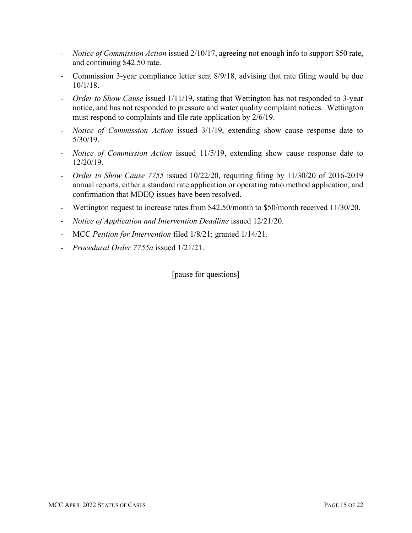- *Notice of Commission Action* issued 2/10/17, agreeing not enough info to support \$50 rate, and continuing \$42.50 rate.
- Commission 3-year compliance letter sent 8/9/18, advising that rate filing would be due 10/1/18.
- *Order to Show Cause* issued 1/11/19, stating that Wettington has not responded to 3-year notice, and has not responded to pressure and water quality complaint notices. Wettington must respond to complaints and file rate application by 2/6/19.
- *Notice of Commission Action* issued 3/1/19, extending show cause response date to 5/30/19.
- *Notice of Commission Action* issued 11/5/19, extending show cause response date to 12/20/19.
- *Order to Show Cause 7755* issued 10/22/20, requiring filing by 11/30/20 of 2016-2019 annual reports, either a standard rate application or operating ratio method application, and confirmation that MDEQ issues have been resolved.
- Wettington request to increase rates from \$42.50/month to \$50/month received 11/30/20.
- *Notice of Application and Intervention Deadline* issued 12/21/20.
- MCC *Petition for Intervention* filed 1/8/21; granted 1/14/21.
- *Procedural Order 7755a* issued 1/21/21.

[pause for questions]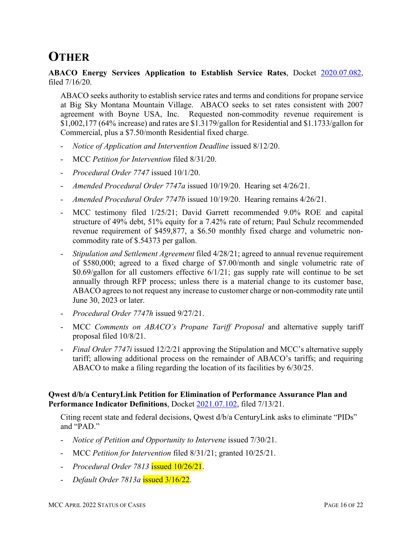# **OTHER**

**ABACO Energy Services Application to Establish Service Rates**, Docket [2020.07.082,](https://dataportal.mt.gov/t/DOAPSC/views/EDDISearch_15650306559830/PSCEDDISearch?iframeSizedToWindow=true&%3Aembed=y&%3AshowAppBanner=false&%3Adisplay_count=no&%3AshowVizHome=no&%3Aorigin=viz_share_link&Tracking%20Number=2020.07.082) filed 7/16/20.

ABACO seeks authority to establish service rates and terms and conditions for propane service at Big Sky Montana Mountain Village. ABACO seeks to set rates consistent with 2007 agreement with Boyne USA, Inc. Requested non-commodity revenue requirement is \$1,002,177 (64% increase) and rates are \$1.3179/gallon for Residential and \$1.1733/gallon for Commercial, plus a \$7.50/month Residential fixed charge.

- *Notice of Application and Intervention Deadline* issued 8/12/20.
- MCC *Petition for Intervention* filed 8/31/20.
- *Procedural Order 7747* issued 10/1/20.
- *Amended Procedural Order 7747a* issued 10/19/20. Hearing set 4/26/21.
- *Amended Procedural Order 7747b* issued 10/19/20. Hearing remains 4/26/21.
- MCC testimony filed 1/25/21; David Garrett recommended 9.0% ROE and capital structure of 49% debt, 51% equity for a 7.42% rate of return; Paul Schulz recommended revenue requirement of \$459,877, a \$6.50 monthly fixed charge and volumetric noncommodity rate of \$.54373 per gallon.
- *Stipulation and Settlement Agreement* filed 4/28/21; agreed to annual revenue requirement of \$580,000; agreed to a fixed charge of \$7.00/month and single volumetric rate of \$0.69/gallon for all customers effective 6/1/21; gas supply rate will continue to be set annually through RFP process; unless there is a material change to its customer base, ABACO agrees to not request any increase to customer charge or non-commodity rate until June 30, 2023 or later.
- *Procedural Order 7747h* issued 9/27/21.
- MCC *Comments on ABACO's Propane Tariff Proposal* and alternative supply tariff proposal filed 10/8/21.
- *Final Order 7747i* issued 12/2/21 approving the Stipulation and MCC's alternative supply tariff; allowing additional process on the remainder of ABACO's tariffs; and requiring ABACO to make a filing regarding the location of its facilities by 6/30/25.

#### **Qwest d/b/a CenturyLink Petition for Elimination of Performance Assurance Plan and Performance Indicator Definitions**, Docket [2021.07.102,](https://dataportal.mt.gov/t/DOAPSC/views/EDDISearch_15650306559830/PSCEDDISearch?iframeSizedToWindow=true&%3Aembed=y&%3AshowAppBanner=false&%3Adisplay_count=no&%3AshowVizHome=no&%3Aorigin=viz_share_link&Tracking%20Number=2021.07.102) filed 7/13/21.

Citing recent state and federal decisions, Qwest d/b/a CenturyLink asks to eliminate "PIDs" and "PAD."

- *Notice of Petition and Opportunity to Intervene* issued 7/30/21.
- MCC *Petition for Intervention* filed 8/31/21; granted 10/25/21.
- *Procedural Order 7813* issued 10/26/21.
- *Default Order 7813a* issued 3/16/22.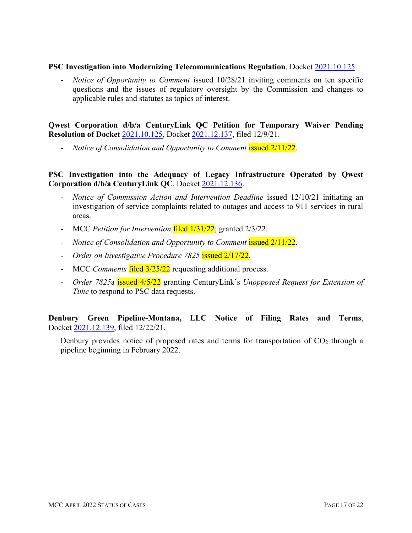#### **PSC Investigation into Modernizing Telecommunications Regulation**, Docket [2021.10.125.](https://dataportal.mt.gov/t/DOAPSC/views/EDDISearch_15650306559830/PSCEDDISearch?iframeSizedToWindow=true&%3Aembed=y&%3AshowAppBanner=false&%3Adisplay_count=no&%3AshowVizHome=no&%3Aorigin=viz_share_link&Tracking%20Number=2021.10.125)

- *Notice of Opportunity to Comment* issued 10/28/21 inviting comments on ten specific questions and the issues of regulatory oversight by the Commission and changes to applicable rules and statutes as topics of interest.

**Qwest Corporation d/b/a CenturyLink QC Petition for Temporary Waiver Pending Resolution of Docket** [2021.10.125,](https://dataportal.mt.gov/t/DOAPSC/views/EDDISearch_15650306559830/PSCEDDISearch?iframeSizedToWindow=true&%3Aembed=y&%3AshowAppBanner=false&%3Adisplay_count=no&%3AshowVizHome=no&%3Aorigin=viz_share_link&Tracking%20Number=2021.10.125) Docket [2021.12.137,](https://dataportal.mt.gov/t/DOAPSC/views/EDDISearch_15650306559830/PSCEDDISearch?iframeSizedToWindow=true&%3Aembed=y&%3AshowAppBanner=false&%3Adisplay_count=no&%3AshowVizHome=no&%3Aorigin=viz_share_link&Tracking%20Number=2021.12.137) filed 12/9/21.

- *Notice of Consolidation and Opportunity to Comment* issued 2/11/22.

#### **PSC Investigation into the Adequacy of Legacy Infrastructure Operated by Qwest Corporation d/b/a CenturyLink QC**, Docket [2021.12.136.](https://dataportal.mt.gov/t/DOAPSC/views/EDDISearch_15650306559830/PSCEDDISearch?iframeSizedToWindow=true&%3Aembed=y&%3AshowAppBanner=false&%3Adisplay_count=no&%3AshowVizHome=no&%3Aorigin=viz_share_link&Tracking%20Number=2021.12.136)

- *Notice of Commission Action and Intervention Deadline* issued 12/10/21 initiating an investigation of service complaints related to outages and access to 911 services in rural areas.
- MCC *Petition for Intervention* filed 1/31/22; granted 2/3/22.
- *Notice of Consolidation and Opportunity to Comment* issued 2/11/22.
- *Order on Investigative Procedure 7825* issued 2/17/22.
- MCC *Comments* filed 3/25/22 requesting additional process.
- *Order 7825*a issued 4/5/22 granting CenturyLink's *Unopposed Request for Extension of Time* to respond to PSC data requests.

**Denbury Green Pipeline-Montana, LLC Notice of Filing Rates and Terms**, Docket [2021.12.139,](https://dataportal.mt.gov/t/DOAPSC/views/EDDISearch_15650306559830/PSCEDDISearch?iframeSizedToWindow=true&%3Aembed=y&%3AshowAppBanner=false&%3Adisplay_count=no&%3AshowVizHome=no&%3Aorigin=viz_share_link&Tracking%20Number=2021.12.139) filed 12/22/21.

Denbury provides notice of proposed rates and terms for transportation of  $CO<sub>2</sub>$  through a pipeline beginning in February 2022.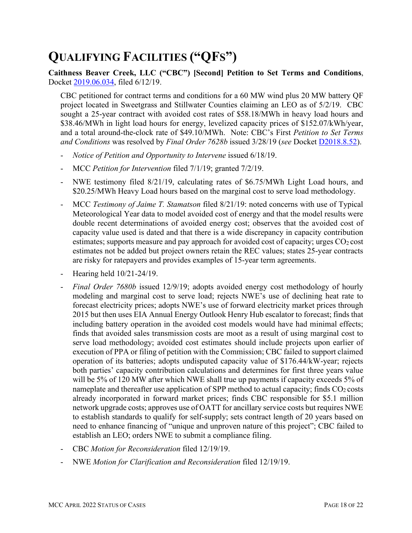# **QUALIFYING FACILITIES ("QFS")**

**Caithness Beaver Creek, LLC ("CBC") [Second] Petition to Set Terms and Conditions**, Docket [2019.06.034,](https://dataportal.mt.gov/t/DOAPSC/views/EDDISearch_15650306559830/PSCEDDISearch?iframeSizedToWindow=true&%3Aembed=y&%3AshowAppBanner=false&%3Adisplay_count=no&%3AshowVizHome=no&%3Aorigin=viz_share_link&Tracking%20Number=2019.06.034) filed 6/12/19.

CBC petitioned for contract terms and conditions for a 60 MW wind plus 20 MW battery QF project located in Sweetgrass and Stillwater Counties claiming an LEO as of 5/2/19. CBC sought a 25-year contract with avoided cost rates of \$58.18/MWh in heavy load hours and \$38.46/MWh in light load hours for energy, levelized capacity prices of \$152.07/kWh/year, and a total around-the-clock rate of \$49.10/MWh. Note: CBC's First *Petition to Set Terms and Conditions* was resolved by *Final Order 7628b* issued 3/28/19 (*see* Docket [D2018.8.52\)](https://dataportal.mt.gov/t/DOAPSC/views/EDDISearch_15650306559830/PSCEDDISearch?iframeSizedToWindow=true&%3Aembed=y&%3AshowAppBanner=false&%3Adisplay_count=no&%3AshowVizHome=no&%3Aorigin=viz_share_link&Tracking%20Number=D2018.8.52).

- *Notice of Petition and Opportunity to Intervene* issued 6/18/19.
- MCC *Petition for Intervention* filed 7/1/19; granted 7/2/19.
- NWE testimony filed 8/21/19, calculating rates of \$6.75/MWh Light Load hours, and \$20.25/MWh Heavy Load hours based on the marginal cost to serve load methodology.
- MCC *Testimony of Jaime T. Stamatson* filed 8/21/19: noted concerns with use of Typical Meteorological Year data to model avoided cost of energy and that the model results were double recent determinations of avoided energy cost; observes that the avoided cost of capacity value used is dated and that there is a wide discrepancy in capacity contribution estimates; supports measure and pay approach for avoided cost of capacity; urges  $CO<sub>2</sub> cost$ estimates not be added but project owners retain the REC values; states 25-year contracts are risky for ratepayers and provides examples of 15-year term agreements.
- Hearing held 10/21-24/19.
- *Final Order 7680b* issued 12/9/19; adopts avoided energy cost methodology of hourly modeling and marginal cost to serve load; rejects NWE's use of declining heat rate to forecast electricity prices; adopts NWE's use of forward electricity market prices through 2015 but then uses EIA Annual Energy Outlook Henry Hub escalator to forecast; finds that including battery operation in the avoided cost models would have had minimal effects; finds that avoided sales transmission costs are moot as a result of using marginal cost to serve load methodology; avoided cost estimates should include projects upon earlier of execution of PPA or filing of petition with the Commission; CBC failed to support claimed operation of its batteries; adopts undisputed capacity value of \$176.44/kW-year; rejects both parties' capacity contribution calculations and determines for first three years value will be 5% of 120 MW after which NWE shall true up payments if capacity exceeds 5% of nameplate and thereafter use application of SPP method to actual capacity; finds  $CO<sub>2</sub> \text{costs}$ already incorporated in forward market prices; finds CBC responsible for \$5.1 million network upgrade costs; approves use of OATT for ancillary service costs but requires NWE to establish standards to qualify for self-supply; sets contract length of 20 years based on need to enhance financing of "unique and unproven nature of this project"; CBC failed to establish an LEO; orders NWE to submit a compliance filing.
- CBC *Motion for Reconsideration* filed 12/19/19.
- NWE *Motion for Clarification and Reconsideration* filed 12/19/19.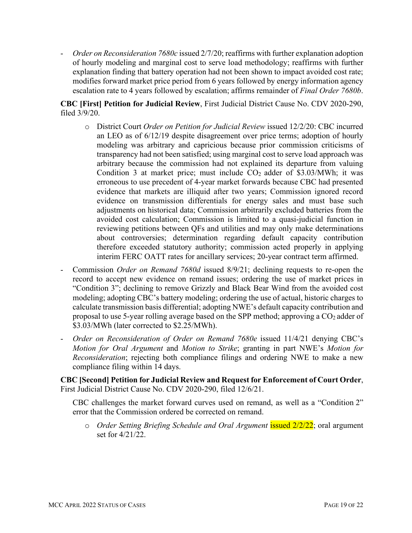- *Order on Reconsideration 7680c* issued 2/7/20; reaffirms with further explanation adoption of hourly modeling and marginal cost to serve load methodology; reaffirms with further explanation finding that battery operation had not been shown to impact avoided cost rate; modifies forward market price period from 6 years followed by energy information agency escalation rate to 4 years followed by escalation; affirms remainder of *Final Order 7680b*.

**CBC [First] Petition for Judicial Review**, First Judicial District Cause No. CDV 2020-290, filed 3/9/20.

- o District Court *Order on Petition for Judicial Review* issued 12/2/20: CBC incurred an LEO as of 6/12/19 despite disagreement over price terms; adoption of hourly modeling was arbitrary and capricious because prior commission criticisms of transparency had not been satisfied; using marginal cost to serve load approach was arbitrary because the commission had not explained its departure from valuing Condition 3 at market price; must include  $CO<sub>2</sub>$  adder of \$3.03/MWh; it was erroneous to use precedent of 4-year market forwards because CBC had presented evidence that markets are illiquid after two years; Commission ignored record evidence on transmission differentials for energy sales and must base such adjustments on historical data; Commission arbitrarily excluded batteries from the avoided cost calculation; Commission is limited to a quasi-judicial function in reviewing petitions between QFs and utilities and may only make determinations about controversies; determination regarding default capacity contribution therefore exceeded statutory authority; commission acted properly in applying interim FERC OATT rates for ancillary services; 20-year contract term affirmed.
- Commission *Order on Remand 7680d* issued 8/9/21; declining requests to re-open the record to accept new evidence on remand issues; ordering the use of market prices in "Condition 3"; declining to remove Grizzly and Black Bear Wind from the avoided cost modeling; adopting CBC's battery modeling; ordering the use of actual, historic charges to calculate transmission basis differential; adopting NWE's default capacity contribution and proposal to use 5-year rolling average based on the SPP method; approving a  $CO<sub>2</sub>$  adder of \$3.03/MWh (later corrected to \$2.25/MWh).
- *Order on Reconsideration of Order on Remand 7680e* issued 11/4/21 denying CBC's *Motion for Oral Argument* and *Motion to Strike*; granting in part NWE's *Motion for Reconsideration*; rejecting both compliance filings and ordering NWE to make a new compliance filing within 14 days.

**CBC [Second] Petition for Judicial Review and Request for Enforcement of Court Order**, First Judicial District Cause No. CDV 2020-290, filed 12/6/21.

CBC challenges the market forward curves used on remand, as well as a "Condition 2" error that the Commission ordered be corrected on remand.

o *Order Setting Briefing Schedule and Oral Argument* issued 2/2/22; oral argument set for 4/21/22.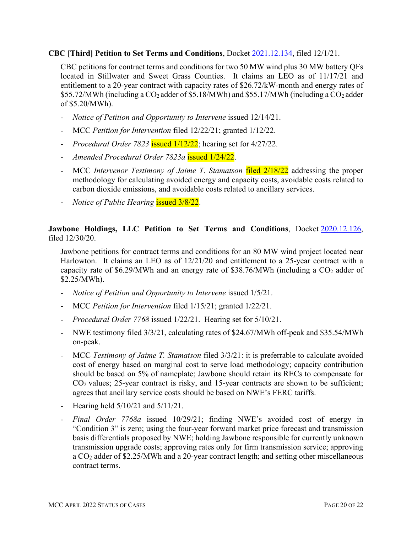#### **CBC [Third] Petition to Set Terms and Conditions**, Docket [2021.12.134,](https://dataportal.mt.gov/t/DOAPSC/views/EDDISearch_15650306559830/PSCEDDISearch?iframeSizedToWindow=true&%3Aembed=y&%3AshowAppBanner=false&%3Adisplay_count=no&%3AshowVizHome=no&%3Aorigin=viz_share_link&Tracking%20Number=2021.12.134) filed 12/1/21.

CBC petitions for contract terms and conditions for two 50 MW wind plus 30 MW battery QFs located in Stillwater and Sweet Grass Counties. It claims an LEO as of 11/17/21 and entitlement to a 20-year contract with capacity rates of \$26.72/kW-month and energy rates of  $$55.72/MWh$  (including a CO<sub>2</sub> adder of  $$5.18/MWh$ ) and  $$55.17/MWh$  (including a CO<sub>2</sub> adder of \$5.20/MWh).

- *Notice of Petition and Opportunity to Intervene* issued 12/14/21.
- MCC *Petition for Intervention* filed 12/22/21; granted 1/12/22.
- *Procedural Order 7823* issued 1/12/22; hearing set for 4/27/22.
- *Amended Procedural Order 7823a* issued 1/24/22.
- MCC *Intervenor Testimony of Jaime T. Stamatson* filed 2/18/22 addressing the proper methodology for calculating avoided energy and capacity costs, avoidable costs related to carbon dioxide emissions, and avoidable costs related to ancillary services.
- *Notice of Public Hearing* issued 3/8/22.

#### **Jawbone Holdings, LLC Petition to Set Terms and Conditions**, Docket [2020.12.126,](https://dataportal.mt.gov/t/DOAPSC/views/EDDISearch_15650306559830/PSCEDDISearch?iframeSizedToWindow=true&%3Aembed=y&%3AshowAppBanner=false&%3Adisplay_count=no&%3AshowVizHome=no&%3Aorigin=viz_share_link&Tracking%20Number=2020.12.126) filed 12/30/20.

Jawbone petitions for contract terms and conditions for an 80 MW wind project located near Harlowton. It claims an LEO as of 12/21/20 and entitlement to a 25-year contract with a capacity rate of \$6.29/MWh and an energy rate of \$38.76/MWh (including a  $CO<sub>2</sub>$  adder of \$2.25/MWh).

- *Notice of Petition and Opportunity to Intervene* issued 1/5/21.
- MCC *Petition for Intervention* filed 1/15/21; granted 1/22/21.
- *Procedural Order 7768* issued 1/22/21. Hearing set for 5/10/21.
- NWE testimony filed 3/3/21, calculating rates of \$24.67/MWh off-peak and \$35.54/MWh on-peak.
- MCC *Testimony of Jaime T. Stamatson* filed 3/3/21: it is preferrable to calculate avoided cost of energy based on marginal cost to serve load methodology; capacity contribution should be based on 5% of nameplate; Jawbone should retain its RECs to compensate for  $CO<sub>2</sub>$  values; 25-year contract is risky, and 15-year contracts are shown to be sufficient; agrees that ancillary service costs should be based on NWE's FERC tariffs.
- Hearing held 5/10/21 and 5/11/21.
- *Final Order 7768a* issued 10/29/21; finding NWE's avoided cost of energy in "Condition 3" is zero; using the four-year forward market price forecast and transmission basis differentials proposed by NWE; holding Jawbone responsible for currently unknown transmission upgrade costs; approving rates only for firm transmission service; approving a CO2 adder of \$2.25/MWh and a 20-year contract length; and setting other miscellaneous contract terms.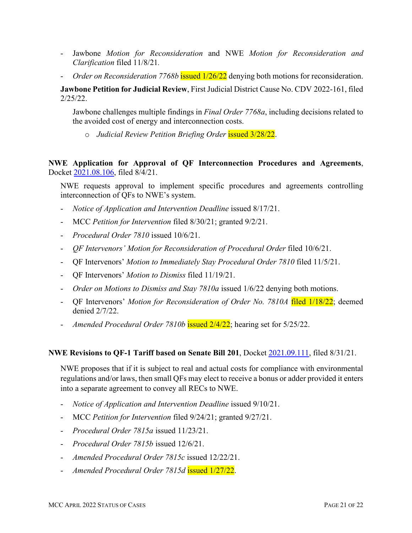- Jawbone *Motion for Reconsideration* and NWE *Motion for Reconsideration and Clarification* filed 11/8/21*.*
- *Order on Reconsideration 7768b* **issued 1/26/22** denying both motions for reconsideration.

**Jawbone Petition for Judicial Review**, First Judicial District Cause No. CDV 2022-161, filed 2/25/22.

Jawbone challenges multiple findings in *Final Order 7768a*, including decisions related to the avoided cost of energy and interconnection costs.

o *Judicial Review Petition Briefing Order* issued 3/28/22.

**NWE Application for Approval of QF Interconnection Procedures and Agreements**, Docket [2021.08.106,](https://dataportal.mt.gov/t/DOAPSC/views/EDDISearch_15650306559830/PSCEDDISearch?iframeSizedToWindow=true&%3Aembed=y&%3AshowAppBanner=false&%3Adisplay_count=no&%3AshowVizHome=no&%3Aorigin=viz_share_link&Tracking%20Number=2021.08.106) filed 8/4/21.

NWE requests approval to implement specific procedures and agreements controlling interconnection of QFs to NWE's system.

- *Notice of Application and Intervention Deadline* issued 8/17/21.
- MCC *Petition for Intervention* filed 8/30/21; granted 9/2/21.
- *Procedural Order 7810* issued 10/6/21.
- *QF Intervenors' Motion for Reconsideration of Procedural Order* filed 10/6/21.
- QF Intervenors' *Motion to Immediately Stay Procedural Order 7810* filed 11/5/21.
- QF Intervenors' *Motion to Dismiss* filed 11/19/21.
- *Order on Motions to Dismiss and Stay 7810a* issued 1/6/22 denying both motions.
- QF Intervenors' *Motion for Reconsideration of Order No. 7810A* filed 1/18/22; deemed denied 2/7/22.
- *Amended Procedural Order 7810b* issued 2/4/22; hearing set for 5/25/22.

#### **NWE Revisions to QF-1 Tariff based on Senate Bill 201**, Docket [2021.09.111,](https://dataportal.mt.gov/t/DOAPSC/views/EDDISearch_15650306559830/PSCEDDISearch?iframeSizedToWindow=true&%3Aembed=y&%3AshowAppBanner=false&%3Adisplay_count=no&%3AshowVizHome=no&%3Aorigin=viz_share_link&Tracking%20Number=2021.09.111) filed 8/31/21.

NWE proposes that if it is subject to real and actual costs for compliance with environmental regulations and/or laws, then small QFs may elect to receive a bonus or adder provided it enters into a separate agreement to convey all RECs to NWE.

- *Notice of Application and Intervention Deadline* issued 9/10/21.
- MCC *Petition for Intervention* filed 9/24/21; granted 9/27/21.
- *Procedural Order 7815a* issued 11/23/21.
- *Procedural Order 7815b* issued 12/6/21.
- *Amended Procedural Order 7815c* issued 12/22/21.
- *Amended Procedural Order 7815d* issued 1/27/22.